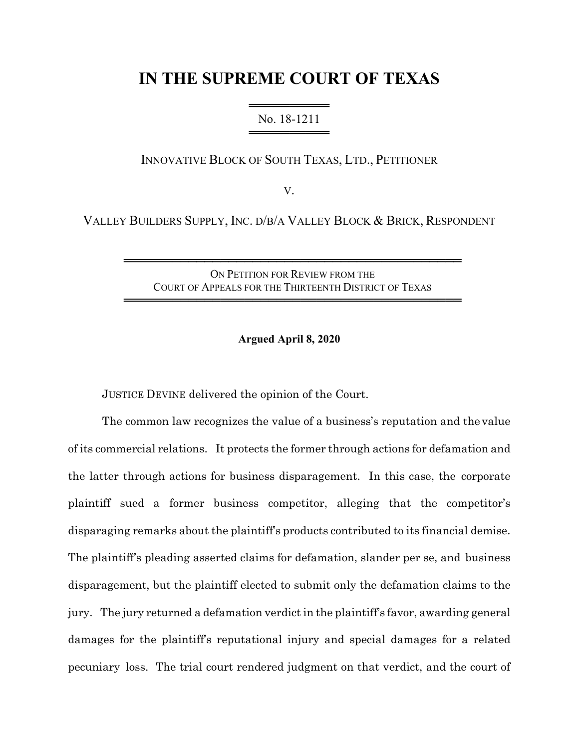# **IN THE SUPREME COURT OF TEXAS**

═══════════════════════ No. 18-1211 ══════════════

INNOVATIVE BLOCK OF SOUTH TEXAS, LTD., PETITIONER

V.

VALLEY BUILDERS SUPPLY, INC. D/B/A VALLEY BLOCK & BRICK, RESPONDENT

ON PETITION FOR REVIEW FROM THE COURT OF APPEALS FOR THE THIRTEENTH DISTRICT OF TEXAS

══════════════════════════════════════════

══════════════════════════════════════════

#### **Argued April 8, 2020**

JUSTICE DEVINE delivered the opinion of the Court.

The common law recognizes the value of a business's reputation and the value of its commercial relations. It protects the former through actions for defamation and the latter through actions for business disparagement. In this case, the corporate plaintiff sued a former business competitor, alleging that the competitor's disparaging remarks about the plaintiff's products contributed to its financial demise. The plaintiff's pleading asserted claims for defamation, slander per se, and business disparagement, but the plaintiff elected to submit only the defamation claims to the jury. The jury returned a defamation verdict in the plaintiff's favor, awarding general damages for the plaintiff's reputational injury and special damages for a related pecuniary loss. The trial court rendered judgment on that verdict, and the court of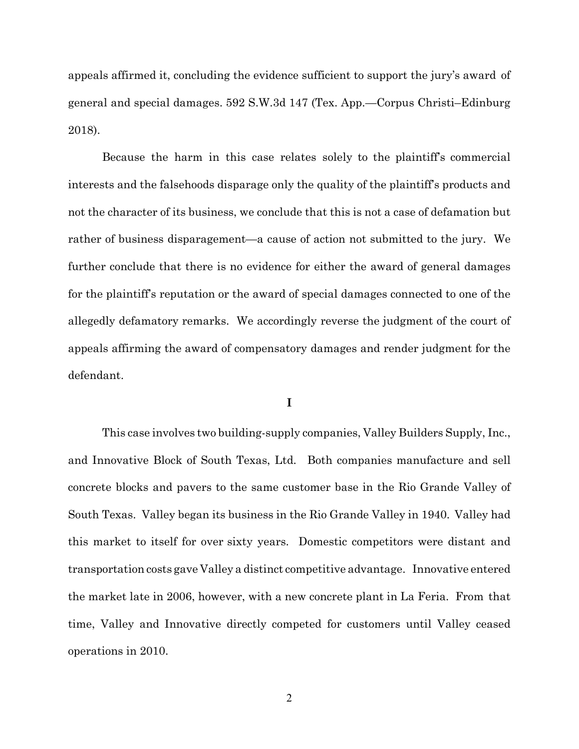appeals affirmed it, concluding the evidence sufficient to support the jury's award of general and special damages. 592 S.W.3d 147 (Tex. App.—Corpus Christi–Edinburg 2018).

Because the harm in this case relates solely to the plaintiff's commercial interests and the falsehoods disparage only the quality of the plaintiff's products and not the character of its business, we conclude that this is not a case of defamation but rather of business disparagement—a cause of action not submitted to the jury. We further conclude that there is no evidence for either the award of general damages for the plaintiff's reputation or the award of special damages connected to one of the allegedly defamatory remarks. We accordingly reverse the judgment of the court of appeals affirming the award of compensatory damages and render judgment for the defendant.

#### **I**

This case involves two building-supply companies, Valley Builders Supply, Inc., and Innovative Block of South Texas, Ltd. Both companies manufacture and sell concrete blocks and pavers to the same customer base in the Rio Grande Valley of South Texas. Valley began its business in the Rio Grande Valley in 1940. Valley had this market to itself for over sixty years. Domestic competitors were distant and transportation costs gave Valley a distinct competitive advantage. Innovative entered the market late in 2006, however, with a new concrete plant in La Feria. From that time, Valley and Innovative directly competed for customers until Valley ceased operations in 2010.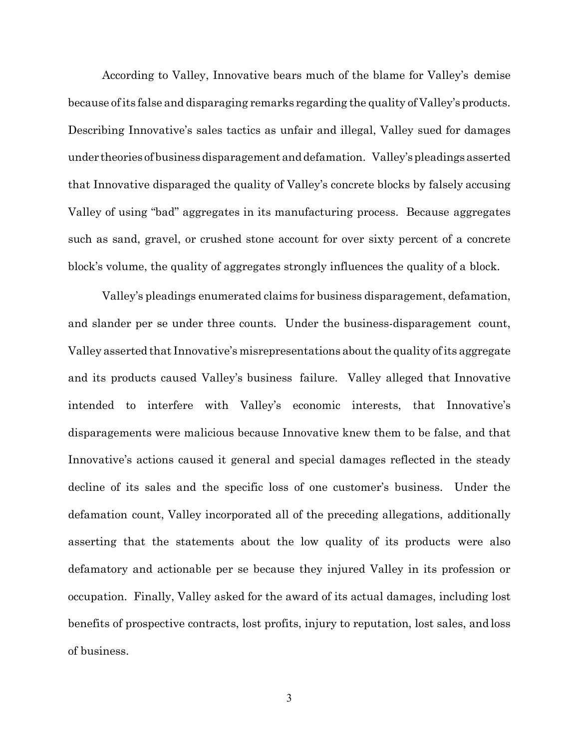According to Valley, Innovative bears much of the blame for Valley's demise because of its false and disparaging remarks regarding the quality of Valley's products. Describing Innovative's sales tactics as unfair and illegal, Valley sued for damages under theories of businessdisparagement and defamation. Valley'spleadingsasserted that Innovative disparaged the quality of Valley's concrete blocks by falsely accusing Valley of using "bad" aggregates in its manufacturing process. Because aggregates such as sand, gravel, or crushed stone account for over sixty percent of a concrete block's volume, the quality of aggregates strongly influences the quality of a block.

Valley's pleadings enumerated claims for business disparagement, defamation, and slander per se under three counts. Under the business-disparagement count, Valley asserted that Innovative's misrepresentations aboutthe quality of its aggregate and its products caused Valley's business failure. Valley alleged that Innovative intended to interfere with Valley's economic interests, that Innovative's disparagements were malicious because Innovative knew them to be false, and that Innovative's actions caused it general and special damages reflected in the steady decline of its sales and the specific loss of one customer's business. Under the defamation count, Valley incorporated all of the preceding allegations, additionally asserting that the statements about the low quality of its products were also defamatory and actionable per se because they injured Valley in its profession or occupation. Finally, Valley asked for the award of its actual damages, including lost benefits of prospective contracts, lost profits, injury to reputation, lost sales, and loss of business.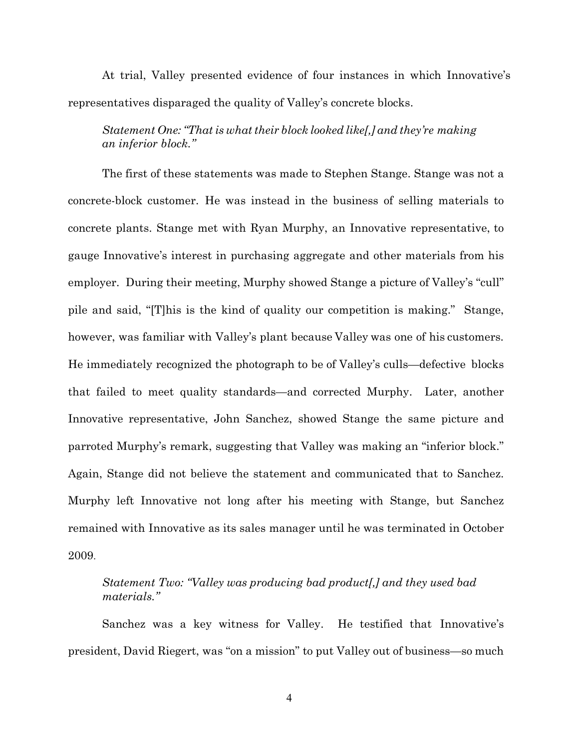At trial, Valley presented evidence of four instances in which Innovative's representatives disparaged the quality of Valley's concrete blocks.

## *Statement One:"That is what their block looked like[,] and they're making an inferior block."*

The first of these statements was made to Stephen Stange. Stange was not a concrete-block customer. He was instead in the business of selling materials to concrete plants. Stange met with Ryan Murphy, an Innovative representative, to gauge Innovative's interest in purchasing aggregate and other materials from his employer. During their meeting, Murphy showed Stange a picture of Valley's "cull" pile and said, "[T]his is the kind of quality our competition is making." Stange, however, was familiar with Valley's plant because Valley was one of his customers. He immediately recognized the photograph to be of Valley's culls—defective blocks that failed to meet quality standards—and corrected Murphy. Later, another Innovative representative, John Sanchez, showed Stange the same picture and parroted Murphy's remark, suggesting that Valley was making an "inferior block." Again, Stange did not believe the statement and communicated that to Sanchez. Murphy left Innovative not long after his meeting with Stange, but Sanchez remained with Innovative as its sales manager until he was terminated in October 2009.

## *Statement Two: "Valley was producing bad product[,] and they used bad materials."*

Sanchez was a key witness for Valley. He testified that Innovative's president, David Riegert, was "on a mission" to put Valley out of business—so much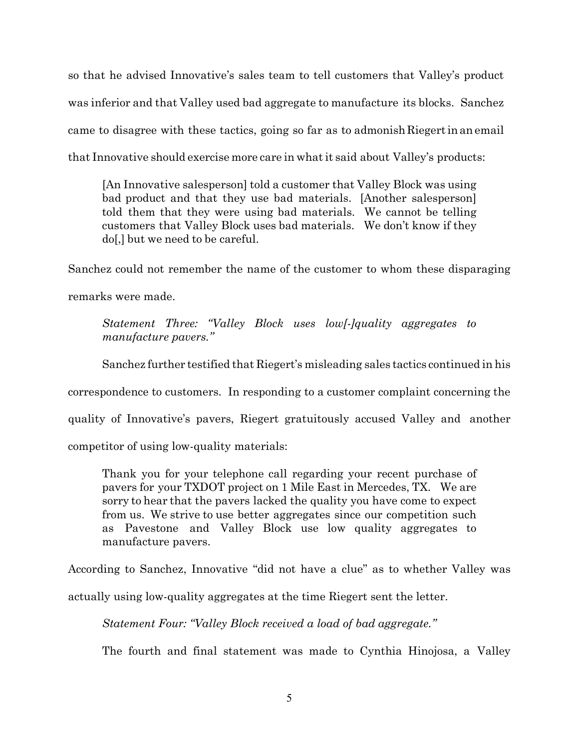so that he advised Innovative's sales team to tell customers that Valley's product was inferior and that Valley used bad aggregate to manufacture its blocks. Sanchez came to disagree with these tactics, going so far as to admonish Riegert inanemail that Innovative should exercise more care in whatit said about Valley's products:

[An Innovative salesperson] told a customer that Valley Block was using bad product and that they use bad materials. [Another salesperson] told them that they were using bad materials. We cannot be telling customers that Valley Block uses bad materials. We don't know if they do[,] but we need to be careful.

Sanchez could not remember the name of the customer to whom these disparaging remarks were made.

*Statement Three: "Valley Block uses low[-]quality aggregates to manufacture pavers."*

Sanchez further testified that Riegert's misleading sales tactics continued in his

correspondence to customers. In responding to a customer complaint concerning the

quality of Innovative's pavers, Riegert gratuitously accused Valley and another

competitor of using low-quality materials:

Thank you for your telephone call regarding your recent purchase of pavers for your TXDOT project on 1 Mile East in Mercedes, TX. We are sorry to hear that the pavers lacked the quality you have come to expect from us. We strive to use better aggregates since our competition such as Pavestone and Valley Block use low quality aggregates to manufacture pavers.

According to Sanchez, Innovative "did not have a clue" as to whether Valley was

actually using low-quality aggregates at the time Riegert sent the letter.

*Statement Four: "Valley Block received a load of bad aggregate."*

The fourth and final statement was made to Cynthia Hinojosa, a Valley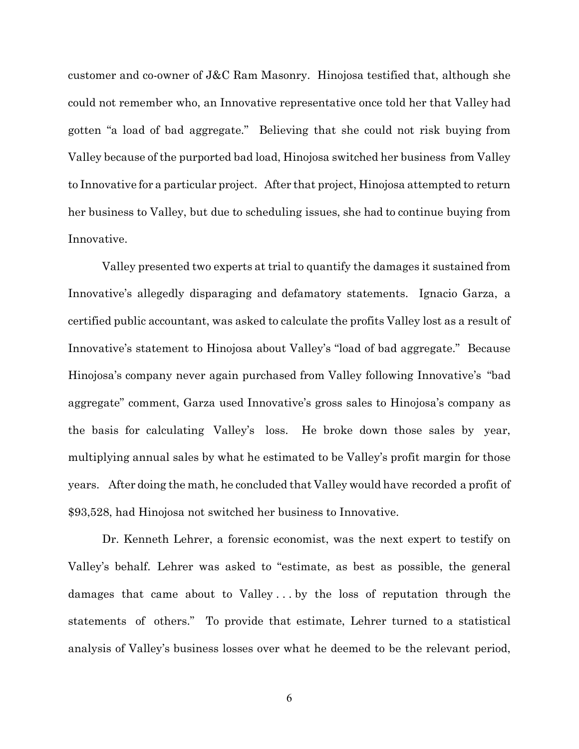customer and co-owner of J&C Ram Masonry. Hinojosa testified that, although she could not remember who, an Innovative representative once told her that Valley had gotten "a load of bad aggregate." Believing that she could not risk buying from Valley because of the purported bad load, Hinojosa switched her business from Valley to Innovative for a particular project. After that project, Hinojosa attempted to return her business to Valley, but due to scheduling issues, she had to continue buying from Innovative.

Valley presented two experts at trial to quantify the damages it sustained from Innovative's allegedly disparaging and defamatory statements. Ignacio Garza, a certified public accountant, was asked to calculate the profits Valley lost as a result of Innovative's statement to Hinojosa about Valley's "load of bad aggregate." Because Hinojosa's company never again purchased from Valley following Innovative's "bad aggregate" comment, Garza used Innovative's gross sales to Hinojosa's company as the basis for calculating Valley's loss. He broke down those sales by year, multiplying annual sales by what he estimated to be Valley's profit margin for those years. After doing the math, he concluded that Valley would have recorded a profit of \$93,528, had Hinojosa not switched her business to Innovative.

Dr. Kenneth Lehrer, a forensic economist, was the next expert to testify on Valley's behalf. Lehrer was asked to "estimate, as best as possible, the general damages that came about to Valley . . . by the loss of reputation through the statements of others." To provide that estimate, Lehrer turned to a statistical analysis of Valley's business losses over what he deemed to be the relevant period,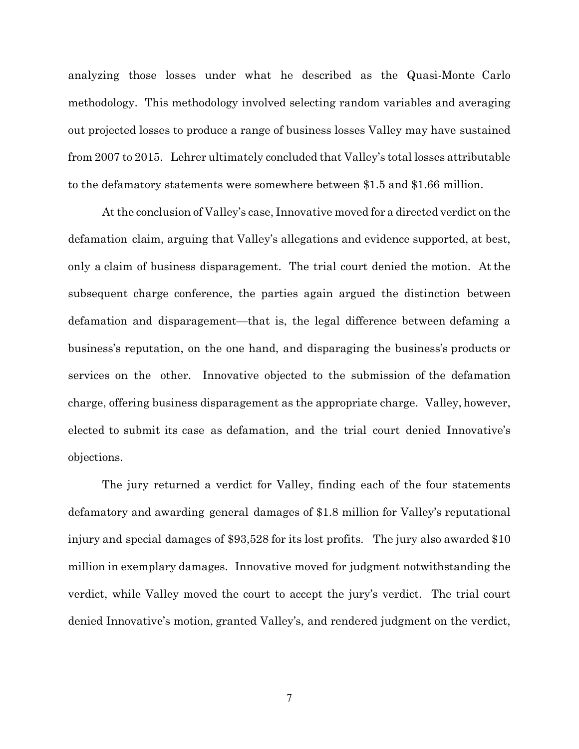analyzing those losses under what he described as the Quasi-Monte Carlo methodology. This methodology involved selecting random variables and averaging out projected losses to produce a range of business losses Valley may have sustained from 2007 to 2015. Lehrer ultimately concluded that Valley's total losses attributable to the defamatory statements were somewhere between \$1.5 and \$1.66 million.

At the conclusion of Valley's case, Innovative moved for a directed verdict on the defamation claim, arguing that Valley's allegations and evidence supported, at best, only a claim of business disparagement. The trial court denied the motion. At the subsequent charge conference, the parties again argued the distinction between defamation and disparagement—that is, the legal difference between defaming a business's reputation, on the one hand, and disparaging the business's products or services on the other. Innovative objected to the submission of the defamation charge, offering business disparagement as the appropriate charge. Valley, however, elected to submit its case as defamation, and the trial court denied Innovative's objections.

The jury returned a verdict for Valley, finding each of the four statements defamatory and awarding general damages of \$1.8 million for Valley's reputational injury and special damages of \$93,528 for its lost profits. The jury also awarded \$10 million in exemplary damages. Innovative moved for judgment notwithstanding the verdict, while Valley moved the court to accept the jury's verdict. The trial court denied Innovative's motion, granted Valley's, and rendered judgment on the verdict,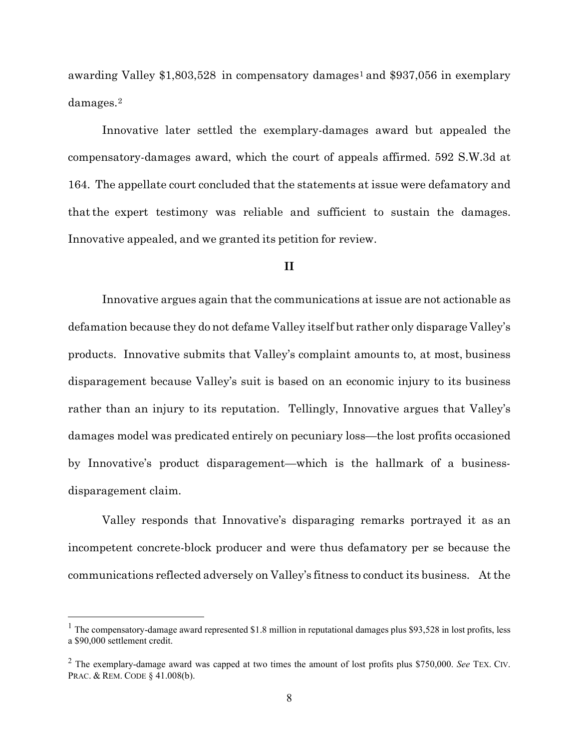awarding Valley  $$1,803,528$  in compensatory damages<sup>1</sup> and  $$937,056$  in exemplary damages.<sup>2</sup>

Innovative later settled the exemplary-damages award but appealed the compensatory-damages award, which the court of appeals affirmed. 592 S.W.3d at 164. The appellate court concluded that the statements at issue were defamatory and thatthe expert testimony was reliable and sufficient to sustain the damages. Innovative appealed, and we granted its petition for review.

### **II**

Innovative argues again that the communications at issue are not actionable as defamation because they do not defame Valley itself but rather only disparage Valley's products. Innovative submits that Valley's complaint amounts to, at most, business disparagement because Valley's suit is based on an economic injury to its business rather than an injury to its reputation. Tellingly, Innovative argues that Valley's damages model was predicated entirely on pecuniary loss—the lost profits occasioned by Innovative's product disparagement—which is the hallmark of a businessdisparagement claim.

Valley responds that Innovative's disparaging remarks portrayed it as an incompetent concrete-block producer and were thus defamatory per se because the communications reflected adversely on Valley's fitness to conduct its business. Atthe

 $1$  The compensatory-damage award represented \$1.8 million in reputational damages plus \$93,528 in lost profits, less a \$90,000 settlement credit.

<sup>2</sup> The exemplary-damage award was capped at two times the amount of lost profits plus \$750,000. *See* TEX. CIV. PRAC. & REM. CODE § 41.008(b).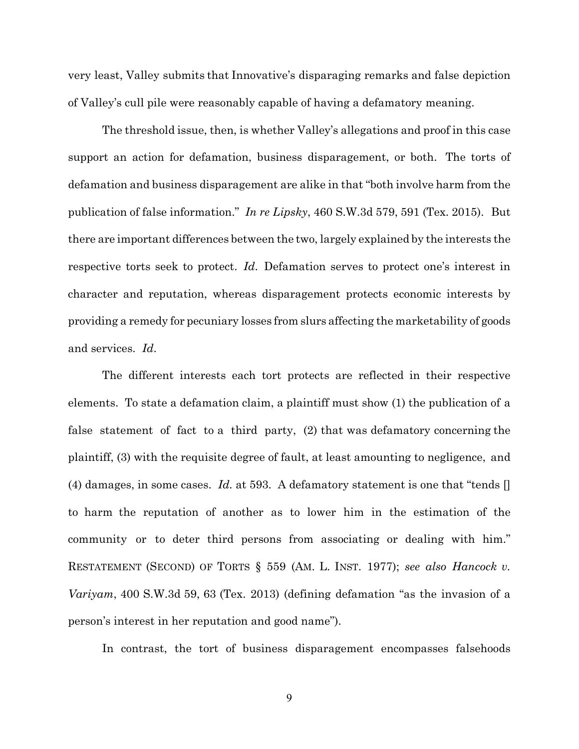very least, Valley submits that Innovative's disparaging remarks and false depiction of Valley's cull pile were reasonably capable of having a defamatory meaning.

The threshold issue, then, is whether Valley's allegations and proof in this case support an action for defamation, business disparagement, or both. The torts of defamation and business disparagement are alike in that "both involve harm from the publication of false information." *In re Lipsky*, 460 S.W.3d 579, 591 (Tex. 2015). But there are important differences between the two, largely explained by the interests the respective torts seek to protect. *Id*. Defamation serves to protect one's interest in character and reputation, whereas disparagement protects economic interests by providing a remedy for pecuniary losses from slurs affecting the marketability of goods and services. *Id*.

The different interests each tort protects are reflected in their respective elements. To state a defamation claim, a plaintiff must show (1) the publication of a false statement of fact to a third party, (2) that was defamatory concerning the plaintiff, (3) with the requisite degree of fault, at least amounting to negligence, and (4) damages, in some cases. *Id.* at 593. A defamatory statement is one that "tends [] to harm the reputation of another as to lower him in the estimation of the community or to deter third persons from associating or dealing with him." RESTATEMENT (SECOND) OF TORTS § 559 (AM. L. INST. 1977); *see also Hancock v. Variyam*, 400 S.W.3d 59, 63 (Tex. 2013) (defining defamation "as the invasion of a person's interest in her reputation and good name").

In contrast, the tort of business disparagement encompasses falsehoods

9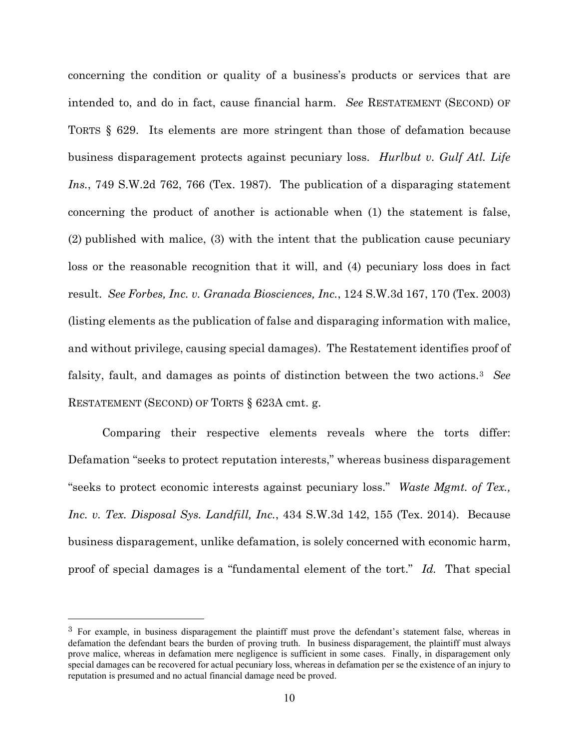concerning the condition or quality of a business's products or services that are intended to, and do in fact, cause financial harm. *See* RESTATEMENT (SECOND) OF TORTS § 629. Its elements are more stringent than those of defamation because business disparagement protects against pecuniary loss. *Hurlbut v. Gulf Atl. Life Ins.*, 749 S.W.2d 762, 766 (Tex. 1987). The publication of a disparaging statement concerning the product of another is actionable when (1) the statement is false, (2) published with malice, (3) with the intent that the publication cause pecuniary loss or the reasonable recognition that it will, and (4) pecuniary loss does in fact result. *See Forbes, Inc. v. Granada Biosciences, Inc.*, 124 S.W.3d 167, 170 (Tex. 2003) (listing elements as the publication of false and disparaging information with malice, and without privilege, causing special damages). The Restatement identifies proof of falsity, fault, and damages as points of distinction between the two actions.<sup>3</sup> *See* RESTATEMENT (SECOND) OF TORTS § 623A cmt. g.

Comparing their respective elements reveals where the torts differ: Defamation "seeks to protect reputation interests," whereas business disparagement "seeks to protect economic interests against pecuniary loss." *Waste Mgmt. of Tex., Inc. v. Tex. Disposal Sys. Landfill, Inc.*, 434 S.W.3d 142, 155 (Tex. 2014). Because business disparagement, unlike defamation, is solely concerned with economic harm, proof of special damages is a "fundamental element of the tort." *Id.* That special

<sup>3</sup> For example, in business disparagement the plaintiff must prove the defendant's statement false, whereas in defamation the defendant bears the burden of proving truth. In business disparagement, the plaintiff must always prove malice, whereas in defamation mere negligence is sufficient in some cases. Finally, in disparagement only special damages can be recovered for actual pecuniary loss, whereas in defamation per se the existence of an injury to reputation is presumed and no actual financial damage need be proved.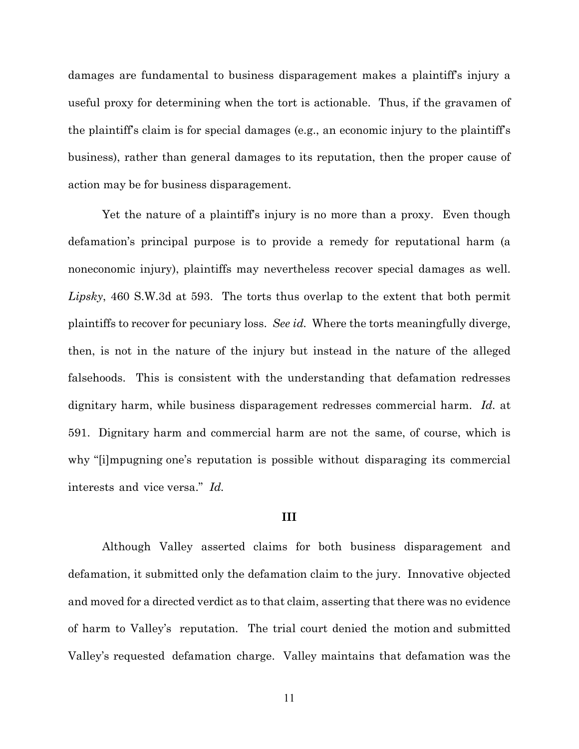damages are fundamental to business disparagement makes a plaintiff's injury a useful proxy for determining when the tort is actionable. Thus, if the gravamen of the plaintiff's claim is for special damages (e.g., an economic injury to the plaintiff's business), rather than general damages to its reputation, then the proper cause of action may be for business disparagement.

Yet the nature of a plaintiff's injury is no more than a proxy. Even though defamation's principal purpose is to provide a remedy for reputational harm (a noneconomic injury), plaintiffs may nevertheless recover special damages as well. *Lipsky*, 460 S.W.3d at 593. The torts thus overlap to the extent that both permit plaintiffs to recover for pecuniary loss. *See id.* Where the torts meaningfully diverge, then, is not in the nature of the injury but instead in the nature of the alleged falsehoods. This is consistent with the understanding that defamation redresses dignitary harm, while business disparagement redresses commercial harm. *Id.* at 591. Dignitary harm and commercial harm are not the same, of course, which is why "[i]mpugning one's reputation is possible without disparaging its commercial interests and vice versa." *Id.* 

#### **III**

Although Valley asserted claims for both business disparagement and defamation, it submitted only the defamation claim to the jury. Innovative objected and moved for a directed verdict as to that claim, asserting that there was no evidence of harm to Valley's reputation. The trial court denied the motion and submitted Valley's requested defamation charge. Valley maintains that defamation was the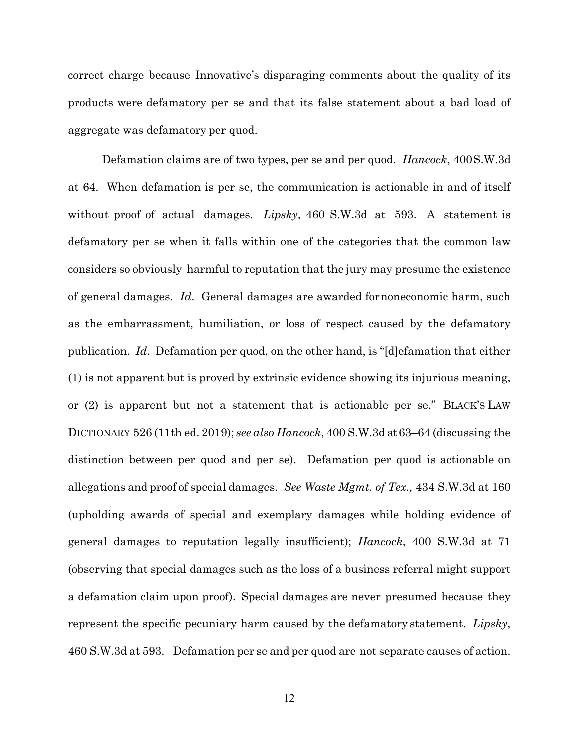correct charge because Innovative's disparaging comments about the quality of its products were defamatory per se and that its false statement about a bad load of aggregate was defamatory per quod.

Defamation claims are of two types, per se and per quod. *Hancock*, 400S.W.3d at 64. When defamation is per se, the communication is actionable in and of itself without proof of actual damages. *Lipsky*, 460 S.W.3d at 593. A statement is defamatory per se when it falls within one of the categories that the common law considers so obviously harmful to reputation that the jury may presume the existence of general damages. *Id*. General damages are awarded fornoneconomic harm, such as the embarrassment, humiliation, or loss of respect caused by the defamatory publication. *Id*. Defamation per quod, on the other hand, is "[d]efamation that either (1) is not apparent but is proved by extrinsic evidence showing its injurious meaning, or (2) is apparent but not a statement that is actionable per se." BLACK'S LAW DICTIONARY 526 (11th ed. 2019); *see also Hancock*, 400 S.W.3d at 63–64 (discussing the distinction between per quod and per se). Defamation per quod is actionable on allegations and proof of special damages. *See Waste Mgmt. of Tex.,* 434 S.W.3d at 160 (upholding awards of special and exemplary damages while holding evidence of general damages to reputation legally insufficient); *Hancock*, 400 S.W.3d at 71 (observing that special damages such as the loss of a business referral might support a defamation claim upon proof). Special damages are never presumed because they represent the specific pecuniary harm caused by the defamatory statement. *Lipsky*, 460 S.W.3d at 593. Defamation per se and per quod are not separate causes of action.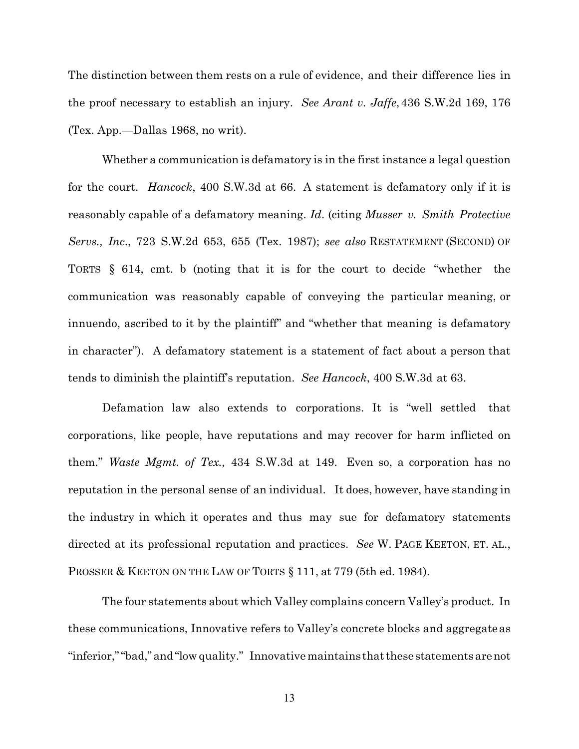The distinction between them rests on a rule of evidence, and their difference lies in the proof necessary to establish an injury. *See Arant v. Jaffe*, 436 S.W.2d 169, 176 (Tex. App.—Dallas 1968, no writ).

Whether a communication is defamatory is in the first instance a legal question for the court. *Hancock*, 400 S.W.3d at 66. A statement is defamatory only if it is reasonably capable of a defamatory meaning. *Id*. (citing *Musser v. Smith Protective Servs., Inc*., 723 S.W.2d 653, 655 (Tex. 1987); *see also* RESTATEMENT (SECOND) OF TORTS § 614, cmt. b (noting that it is for the court to decide "whether the communication was reasonably capable of conveying the particular meaning, or innuendo, ascribed to it by the plaintiff" and "whether that meaning is defamatory in character"). A defamatory statement is a statement of fact about a person that tends to diminish the plaintiff's reputation. *See Hancock*, 400 S.W.3d at 63.

Defamation law also extends to corporations. It is "well settled that corporations, like people, have reputations and may recover for harm inflicted on them." *Waste Mgmt. of Tex.,* 434 S.W.3d at 149. Even so, a corporation has no reputation in the personal sense of an individual. It does, however, have standing in the industry in which it operates and thus may sue for defamatory statements directed at its professional reputation and practices. *See* W. PAGE KEETON, ET. AL., PROSSER & KEETON ON THE LAW OF TORTS § 111, at 779 (5th ed. 1984).

The four statements about which Valley complains concern Valley's product. In these communications, Innovative refers to Valley's concrete blocks and aggregateas "inferior,""bad,"and"lowquality." Innovativemaintains thatthese statementsarenot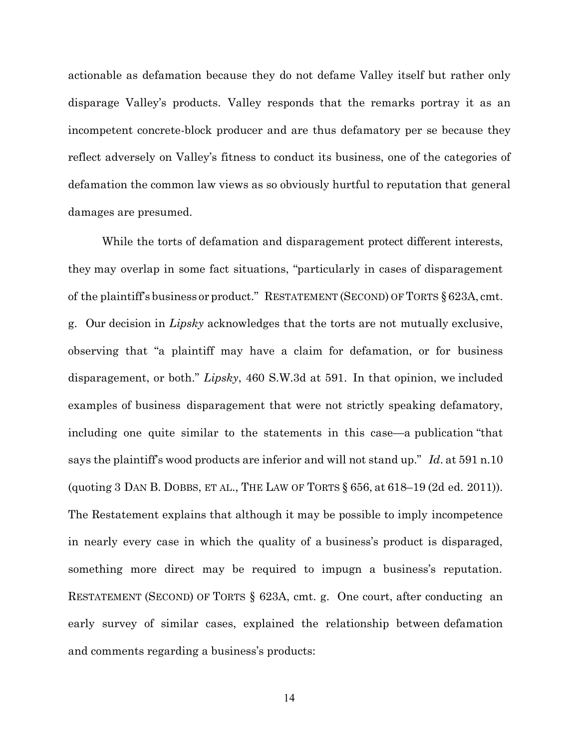actionable as defamation because they do not defame Valley itself but rather only disparage Valley's products. Valley responds that the remarks portray it as an incompetent concrete-block producer and are thus defamatory per se because they reflect adversely on Valley's fitness to conduct its business, one of the categories of defamation the common law views as so obviously hurtful to reputation that general damages are presumed.

While the torts of defamation and disparagement protect different interests, they may overlap in some fact situations, "particularly in cases of disparagement of the plaintiff's business or product." RESTATEMENT (SECOND) OF TORTS § 623A, cmt. g. Our decision in *Lipsky* acknowledges that the torts are not mutually exclusive, observing that "a plaintiff may have a claim for defamation, or for business disparagement, or both." *Lipsky*, 460 S.W.3d at 591. In that opinion, we included examples of business disparagement that were not strictly speaking defamatory, including one quite similar to the statements in this case—a publication "that says the plaintiff's wood products are inferior and will not stand up." *Id*. at 591 n.10 (quoting 3 DAN B. DOBBS, ET AL., THE LAW OF TORTS § 656, at 618–19 (2d ed. 2011)). The Restatement explains that although it may be possible to imply incompetence in nearly every case in which the quality of a business's product is disparaged, something more direct may be required to impugn a business's reputation. RESTATEMENT (SECOND) OF TORTS § 623A, cmt. g. One court, after conducting an early survey of similar cases, explained the relationship between defamation and comments regarding a business's products: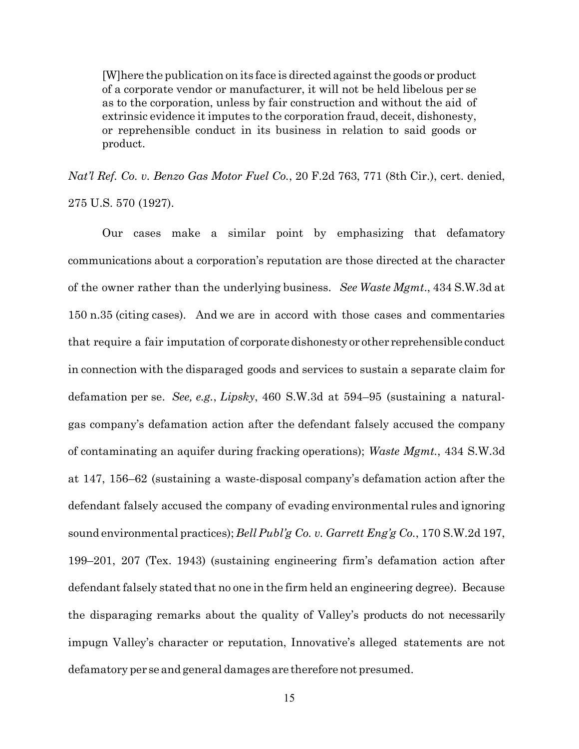[W]here the publication on its face is directed againstthe goods or product of a corporate vendor or manufacturer, it will not be held libelous per se as to the corporation, unless by fair construction and without the aid of extrinsic evidence it imputes to the corporation fraud, deceit, dishonesty, or reprehensible conduct in its business in relation to said goods or product.

*Nat'l Ref. Co. v. Benzo Gas Motor Fuel Co.*, 20 F.2d 763, 771 (8th Cir.), cert. denied, 275 U.S. 570 (1927).

Our cases make a similar point by emphasizing that defamatory communications about a corporation's reputation are those directed at the character of the owner rather than the underlying business. *See Waste Mgmt*., 434 S.W.3d at 150 n.35 (citing cases). And we are in accord with those cases and commentaries that require a fair imputation of corporatedishonesty or other reprehensible conduct in connection with the disparaged goods and services to sustain a separate claim for defamation per se. *See, e.g.*, *Lipsky*, 460 S.W.3d at 594–95 (sustaining a naturalgas company's defamation action after the defendant falsely accused the company of contaminating an aquifer during fracking operations); *Waste Mgmt.*, 434 S.W.3d at 147, 156–62 (sustaining a waste-disposal company's defamation action after the defendant falsely accused the company of evading environmental rules and ignoring sound environmental practices); *Bell Publ'g Co. v. Garrett Eng'g Co.*, 170 S.W.2d 197, 199–201, 207 (Tex. 1943) (sustaining engineering firm's defamation action after defendant falsely stated that no one in the firm held an engineering degree). Because the disparaging remarks about the quality of Valley's products do not necessarily impugn Valley's character or reputation, Innovative's alleged statements are not defamatory per se and general damages are therefore not presumed.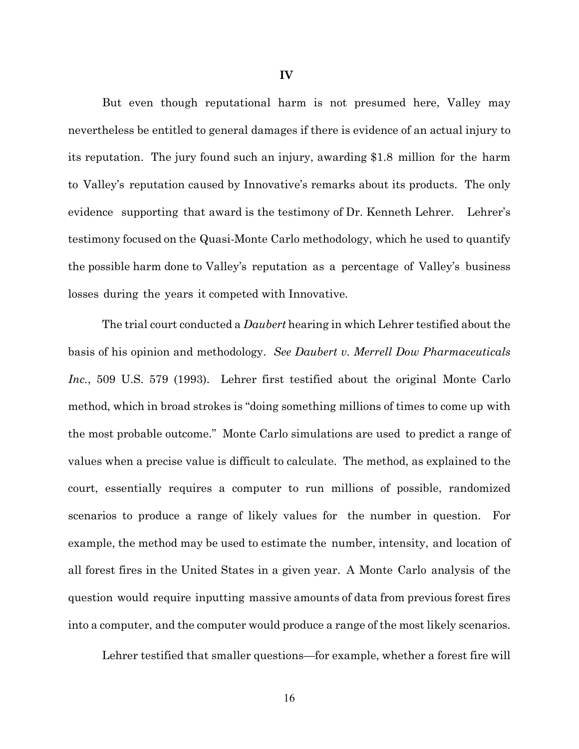But even though reputational harm is not presumed here, Valley may nevertheless be entitled to general damages if there is evidence of an actual injury to its reputation. The jury found such an injury, awarding \$1.8 million for the harm to Valley's reputation caused by Innovative's remarks about its products. The only evidence supporting that award is the testimony of Dr. Kenneth Lehrer. Lehrer's testimony focused on the Quasi-Monte Carlo methodology, which he used to quantify the possible harm done to Valley's reputation as a percentage of Valley's business losses during the years it competed with Innovative.

The trial court conducted a *Daubert* hearing in which Lehrer testified about the basis of his opinion and methodology. *See Daubert v. Merrell Dow Pharmaceuticals Inc.*, 509 U.S. 579 (1993). Lehrer first testified about the original Monte Carlo method, which in broad strokes is "doing something millions of times to come up with the most probable outcome." Monte Carlo simulations are used to predict a range of values when a precise value is difficult to calculate. The method, as explained to the court, essentially requires a computer to run millions of possible, randomized scenarios to produce a range of likely values for the number in question. For example, the method may be used to estimate the number, intensity, and location of all forest fires in the United States in a given year. A Monte Carlo analysis of the question would require inputting massive amounts of data from previous forest fires into a computer, and the computer would produce a range of the most likely scenarios.

Lehrer testified that smaller questions—for example, whether a forest fire will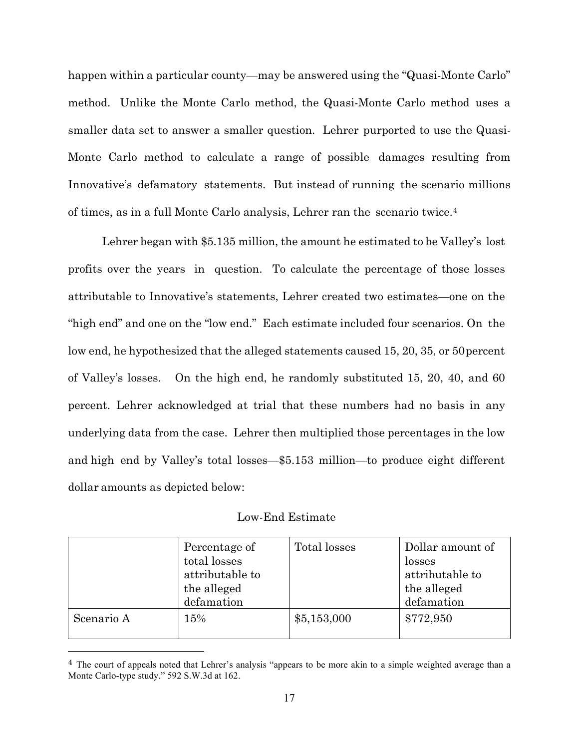happen within a particular county—may be answered using the "Quasi-Monte Carlo" method. Unlike the Monte Carlo method, the Quasi-Monte Carlo method uses a smaller data set to answer a smaller question. Lehrer purported to use the Quasi-Monte Carlo method to calculate a range of possible damages resulting from Innovative's defamatory statements. But instead of running the scenario millions of times, as in a full Monte Carlo analysis, Lehrer ran the scenario twice.<sup>4</sup>

Lehrer began with \$5.135 million, the amount he estimated to be Valley's lost profits over the years in question. To calculate the percentage of those losses attributable to Innovative's statements, Lehrer created two estimates—one on the "high end" and one on the "low end." Each estimate included four scenarios. On the low end, he hypothesized that the alleged statements caused 15, 20, 35, or 50percent of Valley's losses. On the high end, he randomly substituted 15, 20, 40, and 60 percent. Lehrer acknowledged at trial that these numbers had no basis in any underlying data from the case. Lehrer then multiplied those percentages in the low and high end by Valley's total losses—\$5.153 million—to produce eight different dollar amounts as depicted below:

| Low-End Estimate |  |
|------------------|--|
|------------------|--|

|            | Percentage of<br>total losses<br>attributable to<br>the alleged<br>defamation | Total losses | Dollar amount of<br>losses<br>attributable to<br>the alleged<br>defamation |
|------------|-------------------------------------------------------------------------------|--------------|----------------------------------------------------------------------------|
| Scenario A | 15%                                                                           | \$5,153,000  | \$772,950                                                                  |

 $4$  The court of appeals noted that Lehrer's analysis "appears to be more akin to a simple weighted average than a Monte Carlo-type study." 592 S.W.3d at 162.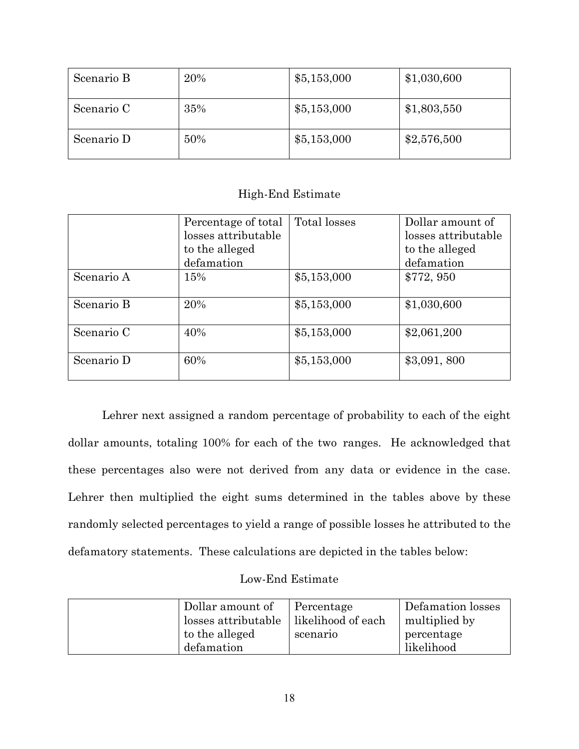| Scenario B | 20% | \$5,153,000 | \$1,030,600 |
|------------|-----|-------------|-------------|
| Scenario C | 35% | \$5,153,000 | \$1,803,550 |
| Scenario D | 50% | \$5,153,000 | \$2,576,500 |

## High-End Estimate

|            | Percentage of total | Total losses | Dollar amount of    |
|------------|---------------------|--------------|---------------------|
|            | losses attributable |              | losses attributable |
|            | to the alleged      |              | to the alleged      |
|            | defamation          |              | defamation          |
| Scenario A | 15%                 | \$5,153,000  | \$772, 950          |
| Scenario B | 20%                 | \$5,153,000  | \$1,030,600         |
| Scenario C | 40%                 | \$5,153,000  | \$2,061,200         |
| Scenario D | 60%                 | \$5,153,000  | \$3,091,800         |

 Lehrer next assigned a random percentage of probability to each of the eight dollar amounts, totaling 100% for each of the two ranges. He acknowledged that these percentages also were not derived from any data or evidence in the case. Lehrer then multiplied the eight sums determined in the tables above by these randomly selected percentages to yield a range of possible losses he attributed to the defamatory statements. These calculations are depicted in the tables below:

# Low-End Estimate

| Dollar amount of<br>losses attributable<br>to the alleged<br>defamation | Percentage<br>likelihood of each<br>scenario | Defamation losses<br>multiplied by<br>percentage<br>likelihood |
|-------------------------------------------------------------------------|----------------------------------------------|----------------------------------------------------------------|
|-------------------------------------------------------------------------|----------------------------------------------|----------------------------------------------------------------|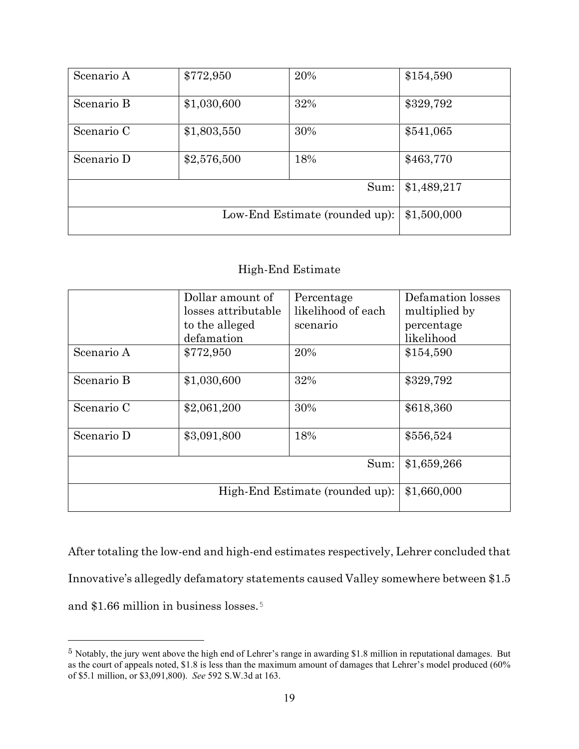| Scenario A                     | \$772,950   | 20% | \$154,590   |
|--------------------------------|-------------|-----|-------------|
| Scenario B                     | \$1,030,600 | 32% | \$329,792   |
| Scenario C                     | \$1,803,550 | 30% | \$541,065   |
| Scenario D                     | \$2,576,500 | 18% | \$463,770   |
| Sum:                           |             |     | \$1,489,217 |
| Low-End Estimate (rounded up): |             |     | \$1,500,000 |

## High-End Estimate

|                                 | Dollar amount of<br>losses attributable<br>to the alleged | Percentage<br>likelihood of each<br>scenario | Defamation losses<br>multiplied by<br>percentage |
|---------------------------------|-----------------------------------------------------------|----------------------------------------------|--------------------------------------------------|
|                                 | defamation                                                |                                              | likelihood                                       |
| Scenario A                      | \$772,950                                                 | 20%                                          | \$154,590                                        |
| Scenario B                      | \$1,030,600                                               | 32%                                          | \$329,792                                        |
| Scenario C                      | \$2,061,200                                               | 30%                                          | \$618,360                                        |
| Scenario D                      | \$3,091,800                                               | 18%                                          | \$556,524                                        |
| Sum:                            |                                                           |                                              | \$1,659,266                                      |
| High-End Estimate (rounded up): |                                                           |                                              | \$1,660,000                                      |

After totaling the low-end and high-end estimates respectively, Lehrer concluded that Innovative's allegedly defamatory statements caused Valley somewhere between \$1.5 and \$1.66 million in business losses.<sup>5</sup>

<sup>5</sup> Notably, the jury went above the high end of Lehrer's range in awarding \$1.8 million in reputational damages. But as the court of appeals noted, \$1.8 is less than the maximum amount of damages that Lehrer's model produced (60% of \$5.1 million, or \$3,091,800). *See* 592 S.W.3d at 163.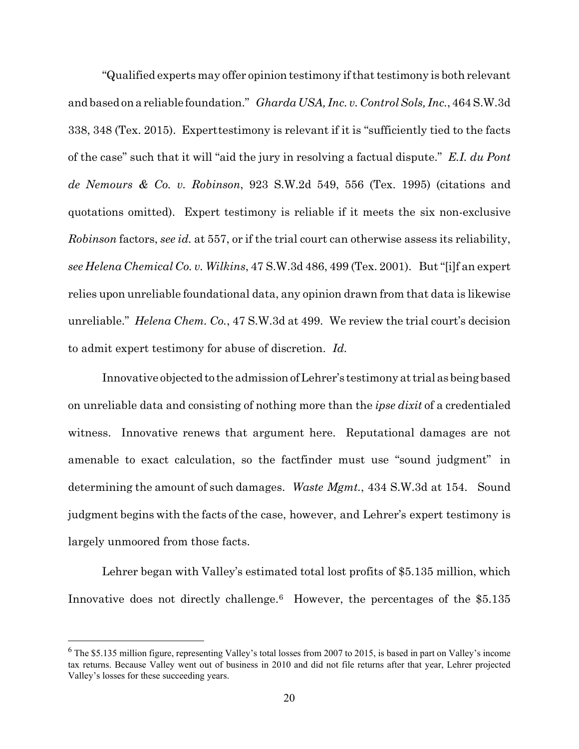"Qualified experts may offer opinion testimony if that testimony is both relevant and based on a reliable foundation." *Gharda USA, Inc. v. ControlSols, Inc.*, 464 S.W.3d 338, 348 (Tex. 2015). Experttestimony is relevant if it is "sufficiently tied to the facts of the case" such that it will "aid the jury in resolving a factual dispute." *E.I. du Pont de Nemours & Co. v. Robinson*, 923 S.W.2d 549, 556 (Tex. 1995) (citations and quotations omitted). Expert testimony is reliable if it meets the six non-exclusive *Robinson* factors, *see id.* at 557, or if the trial court can otherwise assess its reliability, *see Helena Chemical Co. v. Wilkins*, 47 S.W.3d 486, 499 (Tex. 2001). But"[i]f an expert relies upon unreliable foundational data, any opinion drawn from that data is likewise unreliable." *Helena Chem. Co.*, 47 S.W.3d at 499. We review the trial court's decision to admit expert testimony for abuse of discretion. *Id.*

Innovative objected to the admission of Lehrer's testimony attrial as being based on unreliable data and consisting of nothing more than the *ipse dixit* of a credentialed witness. Innovative renews that argument here. Reputational damages are not amenable to exact calculation, so the factfinder must use "sound judgment" in determining the amount of such damages. *Waste Mgmt.*, 434 S.W.3d at 154. Sound judgment begins with the facts of the case, however, and Lehrer's expert testimony is largely unmoored from those facts.

Lehrer began with Valley's estimated total lost profits of \$5.135 million, which Innovative does not directly challenge.<sup>6</sup> However, the percentages of the \$5.135

 $6$  The \$5.135 million figure, representing Valley's total losses from 2007 to 2015, is based in part on Valley's income tax returns. Because Valley went out of business in 2010 and did not file returns after that year, Lehrer projected Valley's losses for these succeeding years.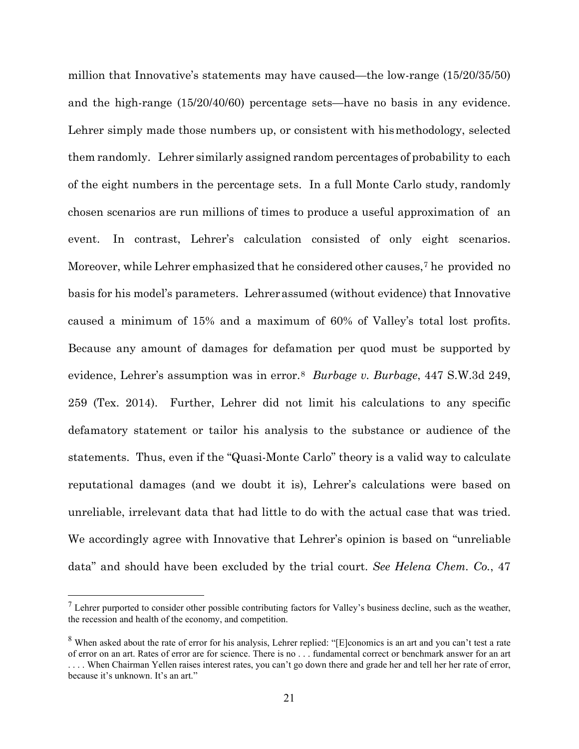million that Innovative's statements may have caused—the low-range (15/20/35/50) and the high-range (15/20/40/60) percentage sets—have no basis in any evidence. Lehrer simply made those numbers up, or consistent with his methodology, selected them randomly. Lehrer similarly assigned random percentages of probability to each of the eight numbers in the percentage sets. In a full Monte Carlo study, randomly chosen scenarios are run millions of times to produce a useful approximation of an event. In contrast, Lehrer's calculation consisted of only eight scenarios. Moreover, while Lehrer emphasized that he considered other causes,<sup>7</sup> he provided no basis for his model's parameters. Lehrer assumed (without evidence) that Innovative caused a minimum of 15% and a maximum of 60% of Valley's total lost profits. Because any amount of damages for defamation per quod must be supported by evidence, Lehrer's assumption was in error.<sup>8</sup> *Burbage v. Burbage*, 447 S.W.3d 249, 259 (Tex. 2014). Further, Lehrer did not limit his calculations to any specific defamatory statement or tailor his analysis to the substance or audience of the statements. Thus, even if the "Quasi-Monte Carlo" theory is a valid way to calculate reputational damages (and we doubt it is), Lehrer's calculations were based on unreliable, irrelevant data that had little to do with the actual case that was tried. We accordingly agree with Innovative that Lehrer's opinion is based on "unreliable data" and should have been excluded by the trial court. *See Helena Chem. Co.*, 47

 $<sup>7</sup>$  Lehrer purported to consider other possible contributing factors for Valley's business decline, such as the weather,</sup> the recession and health of the economy, and competition.

 $8$  When asked about the rate of error for his analysis, Lehrer replied: "[E]conomics is an art and you can't test a rate of error on an art. Rates of error are for science. There is no . . . fundamental correct or benchmark answer for an art . . . . When Chairman Yellen raises interest rates, you can't go down there and grade her and tell her her rate of error, because it's unknown. It's an art."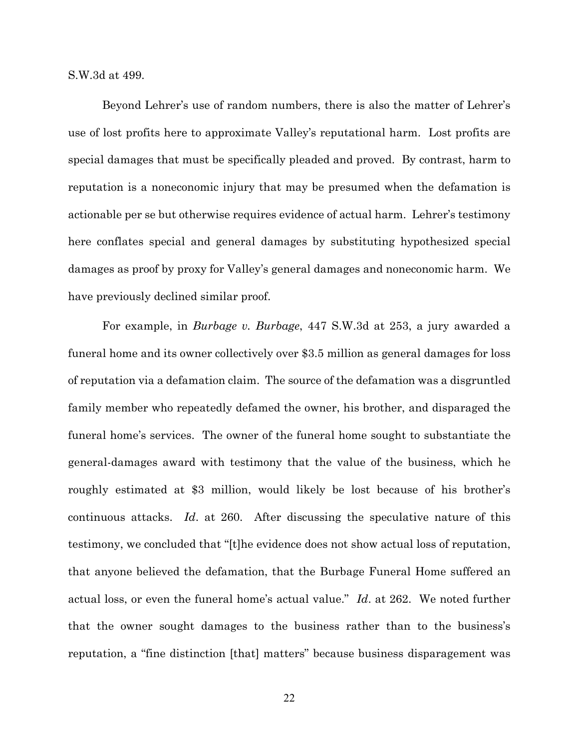S.W.3d at 499.

Beyond Lehrer's use of random numbers, there is also the matter of Lehrer's use of lost profits here to approximate Valley's reputational harm. Lost profits are special damages that must be specifically pleaded and proved. By contrast, harm to reputation is a noneconomic injury that may be presumed when the defamation is actionable per se but otherwise requires evidence of actual harm. Lehrer's testimony here conflates special and general damages by substituting hypothesized special damages as proof by proxy for Valley's general damages and noneconomic harm. We have previously declined similar proof.

For example, in *Burbage v. Burbage*, 447 S.W.3d at 253, a jury awarded a funeral home and its owner collectively over \$3.5 million as general damages for loss of reputation via a defamation claim. The source of the defamation was a disgruntled family member who repeatedly defamed the owner, his brother, and disparaged the funeral home's services. The owner of the funeral home sought to substantiate the general-damages award with testimony that the value of the business, which he roughly estimated at \$3 million, would likely be lost because of his brother's continuous attacks. *Id*. at 260. After discussing the speculative nature of this testimony, we concluded that "[t]he evidence does not show actual loss of reputation, that anyone believed the defamation, that the Burbage Funeral Home suffered an actual loss, or even the funeral home's actual value." *Id*. at 262. We noted further that the owner sought damages to the business rather than to the business's reputation, a "fine distinction [that] matters" because business disparagement was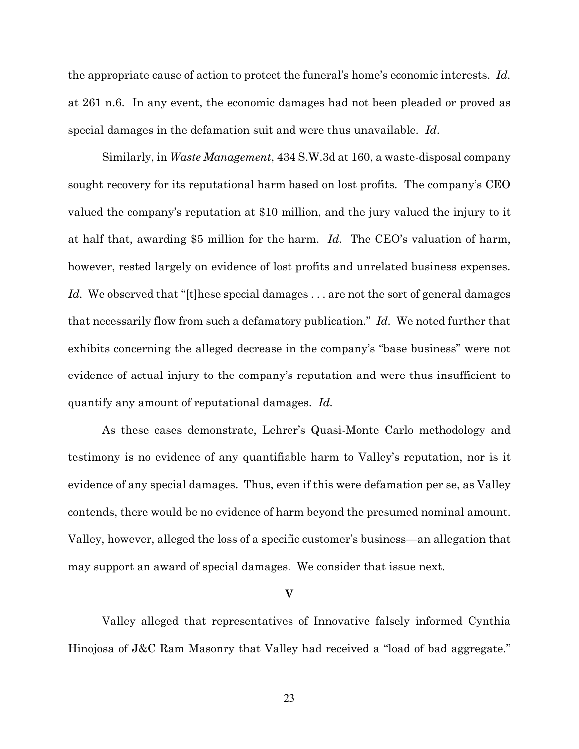the appropriate cause of action to protect the funeral's home's economic interests. *Id.* at 261 n.6. In any event, the economic damages had not been pleaded or proved as special damages in the defamation suit and were thus unavailable. *Id*.

Similarly, in *Waste Management*, 434 S.W.3d at 160, a waste-disposal company sought recovery for its reputational harm based on lost profits. The company's CEO valued the company's reputation at \$10 million, and the jury valued the injury to it at half that, awarding \$5 million for the harm. *Id.* The CEO's valuation of harm, however, rested largely on evidence of lost profits and unrelated business expenses. Id. We observed that "[t]hese special damages . . . are not the sort of general damages that necessarily flow from such a defamatory publication." *Id.* We noted further that exhibits concerning the alleged decrease in the company's "base business" were not evidence of actual injury to the company's reputation and were thus insufficient to quantify any amount of reputational damages. *Id.*

As these cases demonstrate, Lehrer's Quasi-Monte Carlo methodology and testimony is no evidence of any quantifiable harm to Valley's reputation, nor is it evidence of any special damages. Thus, even if this were defamation per se, as Valley contends, there would be no evidence of harm beyond the presumed nominal amount. Valley, however, alleged the loss of a specific customer's business—an allegation that may support an award of special damages. We consider that issue next.

#### **V**

Valley alleged that representatives of Innovative falsely informed Cynthia Hinojosa of J&C Ram Masonry that Valley had received a "load of bad aggregate."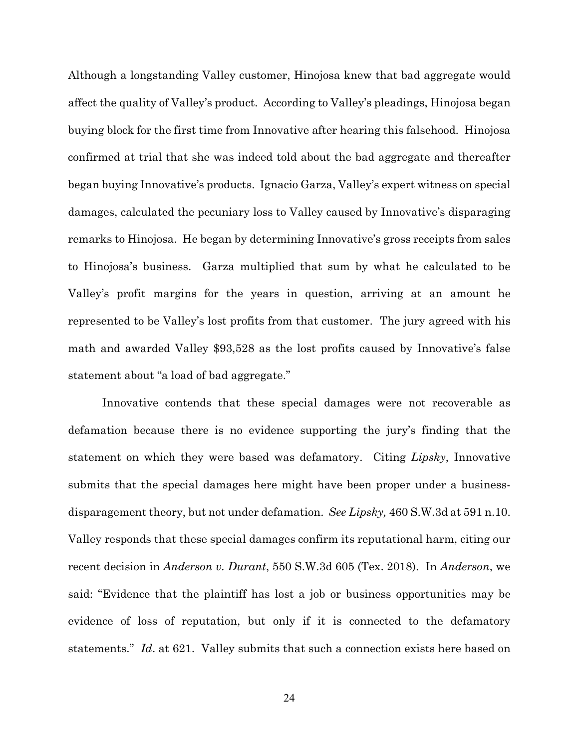Although a longstanding Valley customer, Hinojosa knew that bad aggregate would affect the quality of Valley's product. According to Valley's pleadings, Hinojosa began buying block for the first time from Innovative after hearing this falsehood. Hinojosa confirmed at trial that she was indeed told about the bad aggregate and thereafter began buying Innovative's products. Ignacio Garza, Valley's expert witness on special damages, calculated the pecuniary loss to Valley caused by Innovative's disparaging remarks to Hinojosa. He began by determining Innovative's gross receipts from sales to Hinojosa's business. Garza multiplied that sum by what he calculated to be Valley's profit margins for the years in question, arriving at an amount he represented to be Valley's lost profits from that customer. The jury agreed with his math and awarded Valley \$93,528 as the lost profits caused by Innovative's false statement about "a load of bad aggregate."

Innovative contends that these special damages were not recoverable as defamation because there is no evidence supporting the jury's finding that the statement on which they were based was defamatory. Citing *Lipsky*, Innovative submits that the special damages here might have been proper under a businessdisparagement theory, but not under defamation. *See Lipsky,* 460 S.W.3d at 591 n.10. Valley responds that these special damages confirm its reputational harm, citing our recent decision in *Anderson v. Durant*, 550 S.W.3d 605 (Tex. 2018). In *Anderson*, we said: "Evidence that the plaintiff has lost a job or business opportunities may be evidence of loss of reputation, but only if it is connected to the defamatory statements." *Id*. at 621. Valley submits that such a connection exists here based on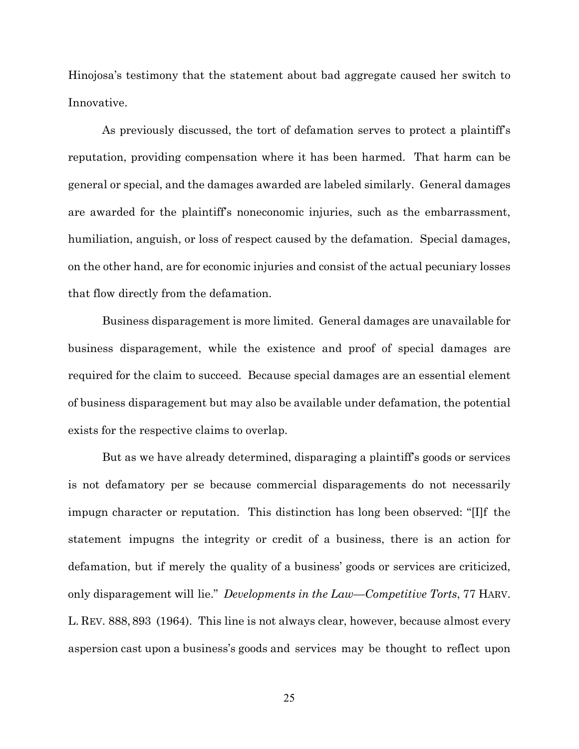Hinojosa's testimony that the statement about bad aggregate caused her switch to Innovative.

As previously discussed, the tort of defamation serves to protect a plaintiff's reputation, providing compensation where it has been harmed. That harm can be general or special, and the damages awarded are labeled similarly. General damages are awarded for the plaintiff's noneconomic injuries, such as the embarrassment, humiliation, anguish, or loss of respect caused by the defamation. Special damages, on the other hand, are for economic injuries and consist of the actual pecuniary losses that flow directly from the defamation.

Business disparagement is more limited. General damages are unavailable for business disparagement, while the existence and proof of special damages are required for the claim to succeed. Because special damages are an essential element of business disparagement but may also be available under defamation, the potential exists for the respective claims to overlap.

But as we have already determined, disparaging a plaintiff's goods or services is not defamatory per se because commercial disparagements do not necessarily impugn character or reputation. This distinction has long been observed: "[I]f the statement impugns the integrity or credit of a business, there is an action for defamation, but if merely the quality of a business' goods or services are criticized, only disparagement will lie." *Developments in the Law—Competitive Torts*, 77 HARV. L. REV. 888, 893 (1964). This line is not always clear, however, because almost every aspersion cast upon a business's goods and services may be thought to reflect upon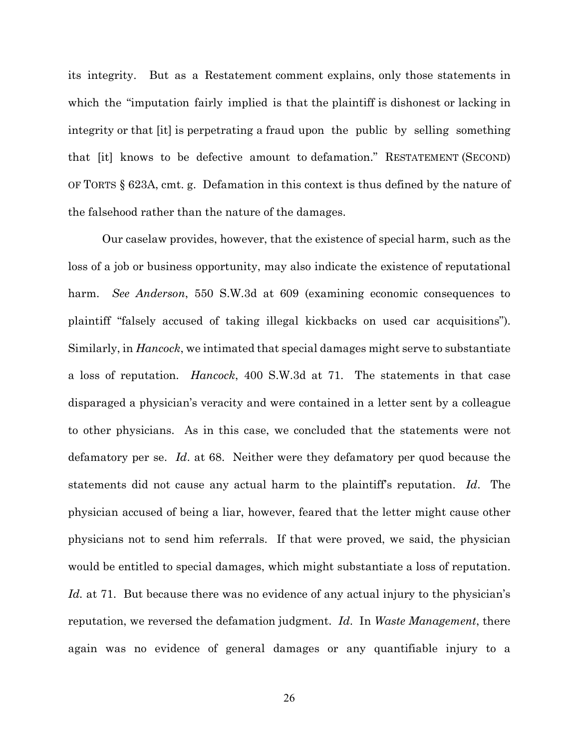its integrity. But as a Restatement comment explains, only those statements in which the "imputation fairly implied is that the plaintiff is dishonest or lacking in integrity or that [it] is perpetrating a fraud upon the public by selling something that [it] knows to be defective amount to defamation." RESTATEMENT (SECOND) OF TORTS § 623A, cmt. g. Defamation in this context is thus defined by the nature of the falsehood rather than the nature of the damages.

Our caselaw provides, however, that the existence of special harm, such as the loss of a job or business opportunity, may also indicate the existence of reputational harm. *See Anderson*, 550 S.W.3d at 609 (examining economic consequences to plaintiff "falsely accused of taking illegal kickbacks on used car acquisitions"). Similarly, in *Hancock*, we intimated that special damages might serve to substantiate a loss of reputation. *Hancock*, 400 S.W.3d at 71. The statements in that case disparaged a physician's veracity and were contained in a letter sent by a colleague to other physicians. As in this case, we concluded that the statements were not defamatory per se. *Id*. at 68. Neither were they defamatory per quod because the statements did not cause any actual harm to the plaintiff's reputation. *Id*. The physician accused of being a liar, however, feared that the letter might cause other physicians not to send him referrals. If that were proved, we said, the physician would be entitled to special damages, which might substantiate a loss of reputation. *Id.* at 71. But because there was no evidence of any actual injury to the physician's reputation, we reversed the defamation judgment. *Id*. In *Waste Management*, there again was no evidence of general damages or any quantifiable injury to a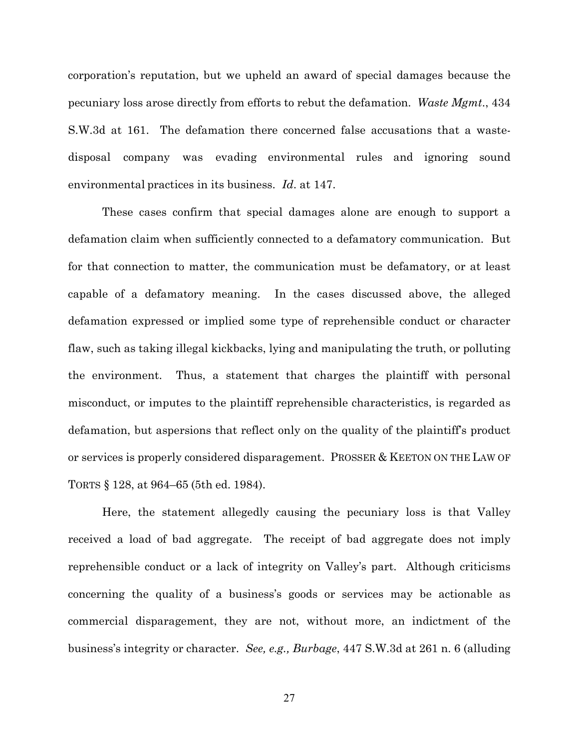corporation's reputation, but we upheld an award of special damages because the pecuniary loss arose directly from efforts to rebut the defamation. *Waste Mgmt*., 434 S.W.3d at 161. The defamation there concerned false accusations that a wastedisposal company was evading environmental rules and ignoring sound environmental practices in its business. *Id*. at 147.

These cases confirm that special damages alone are enough to support a defamation claim when sufficiently connected to a defamatory communication. But for that connection to matter, the communication must be defamatory, or at least capable of a defamatory meaning. In the cases discussed above, the alleged defamation expressed or implied some type of reprehensible conduct or character flaw, such as taking illegal kickbacks, lying and manipulating the truth, or polluting the environment. Thus, a statement that charges the plaintiff with personal misconduct, or imputes to the plaintiff reprehensible characteristics, is regarded as defamation, but aspersions that reflect only on the quality of the plaintiff's product or services is properly considered disparagement. PROSSER & KEETON ON THE LAW OF TORTS § 128, at 964–65 (5th ed. 1984).

Here, the statement allegedly causing the pecuniary loss is that Valley received a load of bad aggregate. The receipt of bad aggregate does not imply reprehensible conduct or a lack of integrity on Valley's part. Although criticisms concerning the quality of a business's goods or services may be actionable as commercial disparagement, they are not, without more, an indictment of the business's integrity or character. *See, e.g., Burbage*, 447 S.W.3d at 261 n. 6 (alluding

27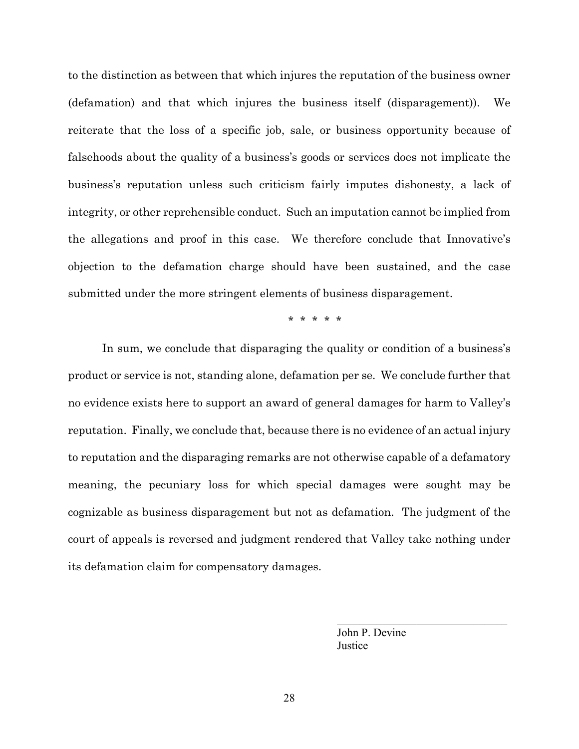to the distinction as between that which injures the reputation of the business owner (defamation) and that which injures the business itself (disparagement)). We reiterate that the loss of a specific job, sale, or business opportunity because of falsehoods about the quality of a business's goods or services does not implicate the business's reputation unless such criticism fairly imputes dishonesty, a lack of integrity, or other reprehensible conduct. Such an imputation cannot be implied from the allegations and proof in this case. We therefore conclude that Innovative's objection to the defamation charge should have been sustained, and the case submitted under the more stringent elements of business disparagement.

\* \* \* \* \*

In sum, we conclude that disparaging the quality or condition of a business's product or service is not, standing alone, defamation per se. We conclude further that no evidence exists here to support an award of general damages for harm to Valley's reputation. Finally, we conclude that, because there is no evidence of an actual injury to reputation and the disparaging remarks are not otherwise capable of a defamatory meaning, the pecuniary loss for which special damages were sought may be cognizable as business disparagement but not as defamation. The judgment of the court of appeals is reversed and judgment rendered that Valley take nothing under its defamation claim for compensatory damages.

> John P. Devine **Justice**